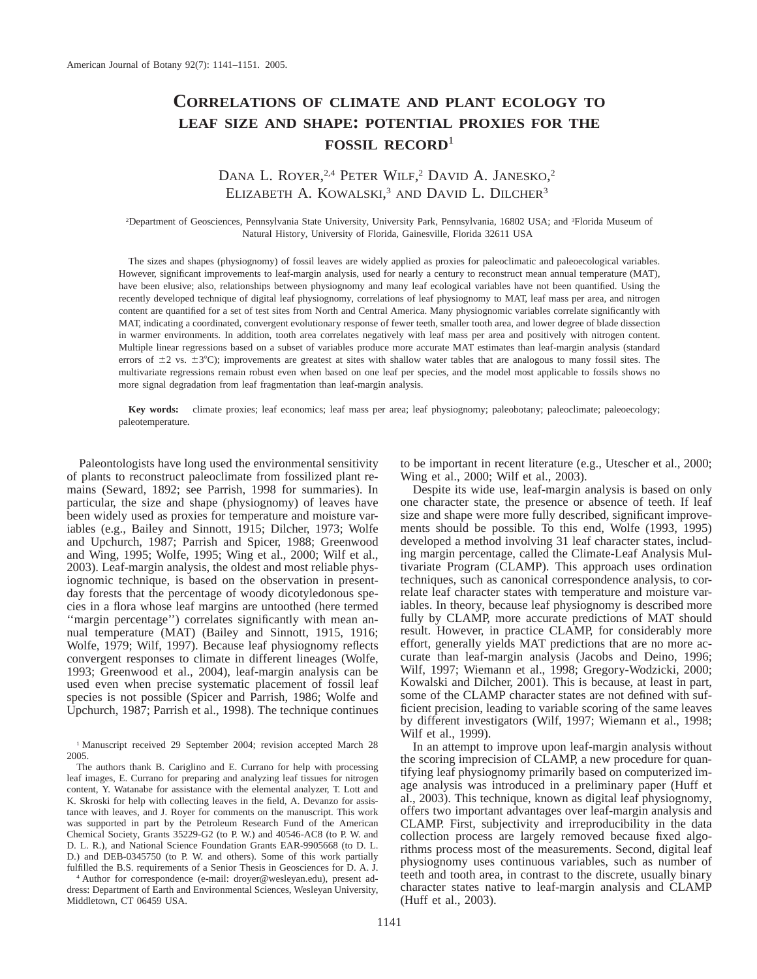# **CORRELATIONS OF CLIMATE AND PLANT ECOLOGY TO LEAF SIZE AND SHAPE: POTENTIAL PROXIES FOR THE FOSSIL RECORD**<sup>1</sup>

## DANA L. ROYER,<sup>2,4</sup> PETER WILF,<sup>2</sup> DAVID A. JANESKO,<sup>2</sup> ELIZABETH A. KOWALSKI,<sup>3</sup> AND DAVID L. DILCHER<sup>3</sup>

2 Department of Geosciences, Pennsylvania State University, University Park, Pennsylvania, 16802 USA; and <sup>3</sup> Florida Museum of Natural History, University of Florida, Gainesville, Florida 32611 USA

The sizes and shapes (physiognomy) of fossil leaves are widely applied as proxies for paleoclimatic and paleoecological variables. However, significant improvements to leaf-margin analysis, used for nearly a century to reconstruct mean annual temperature (MAT), have been elusive; also, relationships between physiognomy and many leaf ecological variables have not been quantified. Using the recently developed technique of digital leaf physiognomy, correlations of leaf physiognomy to MAT, leaf mass per area, and nitrogen content are quantified for a set of test sites from North and Central America. Many physiognomic variables correlate significantly with MAT, indicating a coordinated, convergent evolutionary response of fewer teeth, smaller tooth area, and lower degree of blade dissection in warmer environments. In addition, tooth area correlates negatively with leaf mass per area and positively with nitrogen content. Multiple linear regressions based on a subset of variables produce more accurate MAT estimates than leaf-margin analysis (standard errors of  $\pm 2$  vs.  $\pm 3^{\circ}$ C); improvements are greatest at sites with shallow water tables that are analogous to many fossil sites. The multivariate regressions remain robust even when based on one leaf per species, and the model most applicable to fossils shows no more signal degradation from leaf fragmentation than leaf-margin analysis.

**Key words:** climate proxies; leaf economics; leaf mass per area; leaf physiognomy; paleobotany; paleoclimate; paleoecology; paleotemperature.

Paleontologists have long used the environmental sensitivity of plants to reconstruct paleoclimate from fossilized plant remains (Seward, 1892; see Parrish, 1998 for summaries). In particular, the size and shape (physiognomy) of leaves have been widely used as proxies for temperature and moisture variables (e.g., Bailey and Sinnott, 1915; Dilcher, 1973; Wolfe and Upchurch, 1987; Parrish and Spicer, 1988; Greenwood and Wing, 1995; Wolfe, 1995; Wing et al., 2000; Wilf et al., 2003). Leaf-margin analysis, the oldest and most reliable physiognomic technique, is based on the observation in presentday forests that the percentage of woody dicotyledonous species in a flora whose leaf margins are untoothed (here termed "margin percentage") correlates significantly with mean annual temperature (MAT) (Bailey and Sinnott, 1915, 1916; Wolfe, 1979; Wilf, 1997). Because leaf physiognomy reflects convergent responses to climate in different lineages (Wolfe, 1993; Greenwood et al., 2004), leaf-margin analysis can be used even when precise systematic placement of fossil leaf species is not possible (Spicer and Parrish, 1986; Wolfe and Upchurch, 1987; Parrish et al., 1998). The technique continues

<sup>1</sup> Manuscript received 29 September 2004; revision accepted March 28 2005.

<sup>4</sup> Author for correspondence (e-mail: droyer@wesleyan.edu), present address: Department of Earth and Environmental Sciences, Wesleyan University, Middletown, CT 06459 USA.

to be important in recent literature (e.g., Utescher et al., 2000; Wing et al., 2000; Wilf et al., 2003).

Despite its wide use, leaf-margin analysis is based on only one character state, the presence or absence of teeth. If leaf size and shape were more fully described, significant improvements should be possible. To this end, Wolfe (1993, 1995) developed a method involving 31 leaf character states, including margin percentage, called the Climate-Leaf Analysis Multivariate Program (CLAMP). This approach uses ordination techniques, such as canonical correspondence analysis, to correlate leaf character states with temperature and moisture variables. In theory, because leaf physiognomy is described more fully by CLAMP, more accurate predictions of MAT should result. However, in practice CLAMP, for considerably more effort, generally yields MAT predictions that are no more accurate than leaf-margin analysis (Jacobs and Deino, 1996; Wilf, 1997; Wiemann et al., 1998; Gregory-Wodzicki, 2000; Kowalski and Dilcher, 2001). This is because, at least in part, some of the CLAMP character states are not defined with sufficient precision, leading to variable scoring of the same leaves by different investigators (Wilf, 1997; Wiemann et al., 1998; Wilf et al., 1999).

In an attempt to improve upon leaf-margin analysis without the scoring imprecision of CLAMP, a new procedure for quantifying leaf physiognomy primarily based on computerized image analysis was introduced in a preliminary paper (Huff et al., 2003). This technique, known as digital leaf physiognomy, offers two important advantages over leaf-margin analysis and CLAMP. First, subjectivity and irreproducibility in the data collection process are largely removed because fixed algorithms process most of the measurements. Second, digital leaf physiognomy uses continuous variables, such as number of teeth and tooth area, in contrast to the discrete, usually binary character states native to leaf-margin analysis and CLAMP (Huff et al., 2003).

The authors thank B. Cariglino and E. Currano for help with processing leaf images, E. Currano for preparing and analyzing leaf tissues for nitrogen content, Y. Watanabe for assistance with the elemental analyzer, T. Lott and K. Skroski for help with collecting leaves in the field, A. Devanzo for assistance with leaves, and J. Royer for comments on the manuscript. This work was supported in part by the Petroleum Research Fund of the American Chemical Society, Grants 35229-G2 (to P. W.) and 40546-AC8 (to P. W. and D. L. R.), and National Science Foundation Grants EAR-9905668 (to D. L. D.) and DEB-0345750 (to P. W. and others). Some of this work partially fulfilled the B.S. requirements of a Senior Thesis in Geosciences for D. A. J.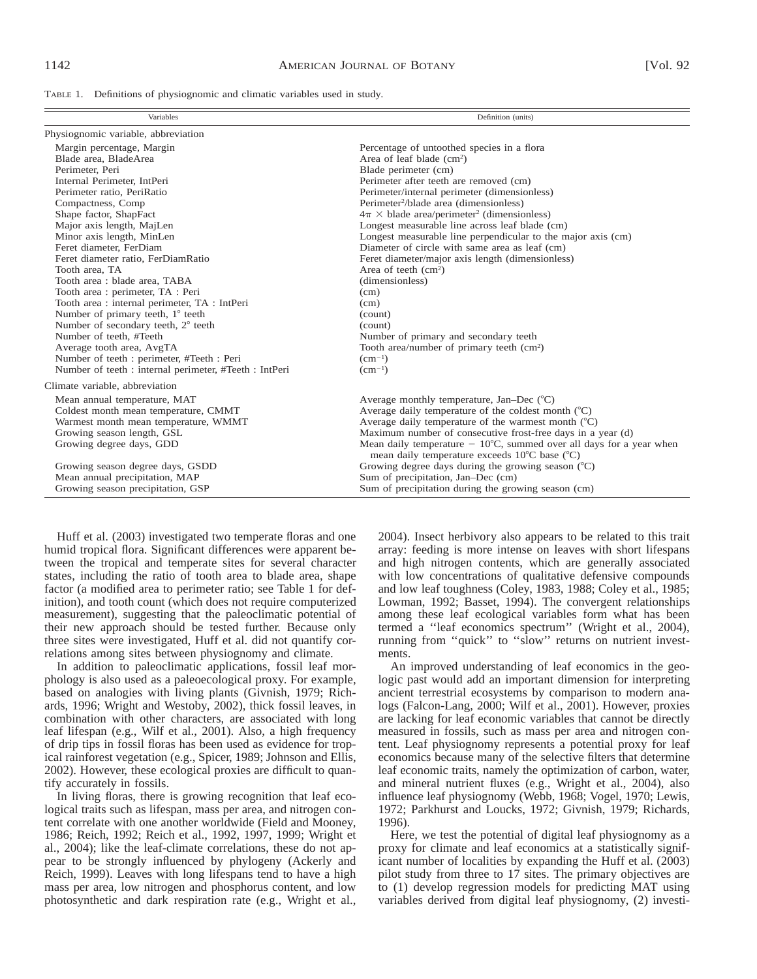| TABLE 1. Definitions of physiognomic and climatic variables used in study. |  |  |  |  |  |  |  |  |  |  |
|----------------------------------------------------------------------------|--|--|--|--|--|--|--|--|--|--|
|----------------------------------------------------------------------------|--|--|--|--|--|--|--|--|--|--|

| Variables                                              | Definition (units)                                                                                                            |
|--------------------------------------------------------|-------------------------------------------------------------------------------------------------------------------------------|
| Physiognomic variable, abbreviation                    |                                                                                                                               |
| Margin percentage, Margin                              | Percentage of untoothed species in a flora                                                                                    |
| Blade area, BladeArea                                  | Area of leaf blade $(cm2)$                                                                                                    |
| Perimeter, Peri                                        | Blade perimeter (cm)                                                                                                          |
| Internal Perimeter, IntPeri                            | Perimeter after teeth are removed (cm)                                                                                        |
| Perimeter ratio, PeriRatio                             | Perimeter/internal perimeter (dimensionless)                                                                                  |
| Compactness, Comp                                      | Perimeter <sup>2</sup> /blade area (dimensionless)                                                                            |
| Shape factor, ShapFact                                 | $4\pi \times$ blade area/perimeter <sup>2</sup> (dimensionless)                                                               |
| Major axis length, MajLen                              | Longest measurable line across leaf blade (cm)                                                                                |
| Minor axis length, MinLen                              | Longest measurable line perpendicular to the major axis (cm)                                                                  |
| Feret diameter, FerDiam                                | Diameter of circle with same area as leaf (cm)                                                                                |
| Feret diameter ratio, FerDiamRatio                     | Feret diameter/major axis length (dimensionless)                                                                              |
| Tooth area, TA                                         | Area of teeth $(cm2)$                                                                                                         |
| Tooth area : blade area, TABA                          | (dimensionless)                                                                                                               |
| Tooth area : perimeter, TA : Peri                      | (cm)                                                                                                                          |
| Tooth area : internal perimeter, TA : IntPeri          | (cm)                                                                                                                          |
| Number of primary teeth, $1^\circ$ teeth               | (count)                                                                                                                       |
| Number of secondary teeth, 2° teeth                    | (count)                                                                                                                       |
| Number of teeth. #Teeth                                | Number of primary and secondary teeth                                                                                         |
| Average tooth area, AvgTA                              | Tooth area/number of primary teeth (cm <sup>2</sup> )                                                                         |
| Number of teeth : perimeter, #Teeth : Peri             | $(cm^{-1})$                                                                                                                   |
| Number of teeth : internal perimeter, #Teeth : IntPeri | $(cm^{-1})$                                                                                                                   |
| Climate variable, abbreviation                         |                                                                                                                               |
| Mean annual temperature, MAT                           | Average monthly temperature, Jan-Dec $({}^{\circ}C)$                                                                          |
| Coldest month mean temperature, CMMT                   | Average daily temperature of the coldest month $(^{\circ}C)$                                                                  |
| Warmest month mean temperature, WMMT                   | Average daily temperature of the warmest month $(^{\circ}C)$                                                                  |
| Growing season length, GSL                             | Maximum number of consecutive frost-free days in a year (d)                                                                   |
| Growing degree days, GDD                               | Mean daily temperature $-10^{\circ}$ C, summed over all days for a year when<br>mean daily temperature exceeds 10°C base (°C) |
| Growing season degree days, GSDD                       | Growing degree days during the growing season $(°C)$                                                                          |
| Mean annual precipitation, MAP                         | Sum of precipitation, Jan-Dec (cm)                                                                                            |
| Growing season precipitation, GSP                      | Sum of precipitation during the growing season (cm)                                                                           |

Huff et al. (2003) investigated two temperate floras and one humid tropical flora. Significant differences were apparent between the tropical and temperate sites for several character states, including the ratio of tooth area to blade area, shape factor (a modified area to perimeter ratio; see Table 1 for definition), and tooth count (which does not require computerized measurement), suggesting that the paleoclimatic potential of their new approach should be tested further. Because only three sites were investigated, Huff et al. did not quantify correlations among sites between physiognomy and climate.

In addition to paleoclimatic applications, fossil leaf morphology is also used as a paleoecological proxy. For example, based on analogies with living plants (Givnish, 1979; Richards, 1996; Wright and Westoby, 2002), thick fossil leaves, in combination with other characters, are associated with long leaf lifespan (e.g., Wilf et al., 2001). Also, a high frequency of drip tips in fossil floras has been used as evidence for tropical rainforest vegetation (e.g., Spicer, 1989; Johnson and Ellis, 2002). However, these ecological proxies are difficult to quantify accurately in fossils.

In living floras, there is growing recognition that leaf ecological traits such as lifespan, mass per area, and nitrogen content correlate with one another worldwide (Field and Mooney, 1986; Reich, 1992; Reich et al., 1992, 1997, 1999; Wright et al., 2004); like the leaf-climate correlations, these do not appear to be strongly influenced by phylogeny (Ackerly and Reich, 1999). Leaves with long lifespans tend to have a high mass per area, low nitrogen and phosphorus content, and low photosynthetic and dark respiration rate (e.g., Wright et al.,

2004). Insect herbivory also appears to be related to this trait array: feeding is more intense on leaves with short lifespans and high nitrogen contents, which are generally associated with low concentrations of qualitative defensive compounds and low leaf toughness (Coley, 1983, 1988; Coley et al., 1985; Lowman, 1992; Basset, 1994). The convergent relationships among these leaf ecological variables form what has been termed a ''leaf economics spectrum'' (Wright et al., 2004), running from ''quick'' to ''slow'' returns on nutrient investments.

An improved understanding of leaf economics in the geologic past would add an important dimension for interpreting ancient terrestrial ecosystems by comparison to modern analogs (Falcon-Lang, 2000; Wilf et al., 2001). However, proxies are lacking for leaf economic variables that cannot be directly measured in fossils, such as mass per area and nitrogen content. Leaf physiognomy represents a potential proxy for leaf economics because many of the selective filters that determine leaf economic traits, namely the optimization of carbon, water, and mineral nutrient fluxes (e.g., Wright et al., 2004), also influence leaf physiognomy (Webb, 1968; Vogel, 1970; Lewis, 1972; Parkhurst and Loucks, 1972; Givnish, 1979; Richards, 1996).

Here, we test the potential of digital leaf physiognomy as a proxy for climate and leaf economics at a statistically significant number of localities by expanding the Huff et al. (2003) pilot study from three to 17 sites. The primary objectives are to (1) develop regression models for predicting MAT using variables derived from digital leaf physiognomy, (2) investi-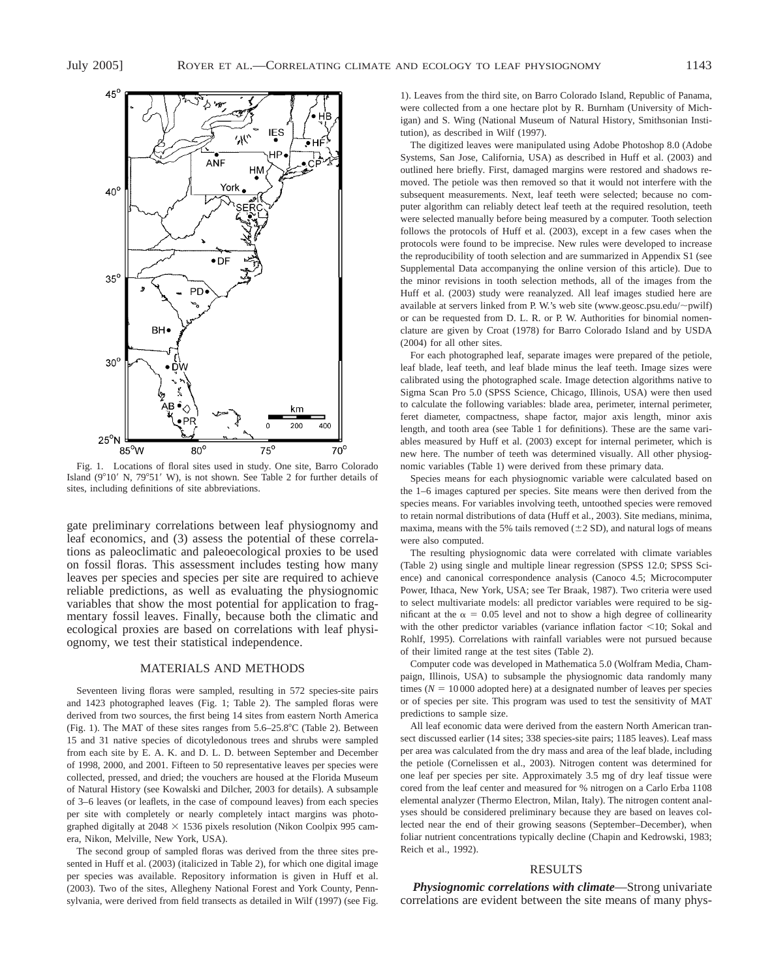

Fig. 1. Locations of floral sites used in study. One site, Barro Colorado Island ( $9^{\circ}10'$  N,  $79^{\circ}51'$  W), is not shown. See Table 2 for further details of sites, including definitions of site abbreviations.

gate preliminary correlations between leaf physiognomy and leaf economics, and (3) assess the potential of these correlations as paleoclimatic and paleoecological proxies to be used on fossil floras. This assessment includes testing how many leaves per species and species per site are required to achieve reliable predictions, as well as evaluating the physiognomic variables that show the most potential for application to fragmentary fossil leaves. Finally, because both the climatic and ecological proxies are based on correlations with leaf physiognomy, we test their statistical independence.

#### MATERIALS AND METHODS

Seventeen living floras were sampled, resulting in 572 species-site pairs and 1423 photographed leaves (Fig. 1; Table 2). The sampled floras were derived from two sources, the first being 14 sites from eastern North America (Fig. 1). The MAT of these sites ranges from  $5.6-25.8^{\circ}$ C (Table 2). Between 15 and 31 native species of dicotyledonous trees and shrubs were sampled from each site by E. A. K. and D. L. D. between September and December of 1998, 2000, and 2001. Fifteen to 50 representative leaves per species were collected, pressed, and dried; the vouchers are housed at the Florida Museum of Natural History (see Kowalski and Dilcher, 2003 for details). A subsample of 3–6 leaves (or leaflets, in the case of compound leaves) from each species per site with completely or nearly completely intact margins was photographed digitally at  $2048 \times 1536$  pixels resolution (Nikon Coolpix 995 camera, Nikon, Melville, New York, USA).

The second group of sampled floras was derived from the three sites presented in Huff et al. (2003) (italicized in Table 2), for which one digital image per species was available. Repository information is given in Huff et al. (2003). Two of the sites, Allegheny National Forest and York County, Pennsylvania, were derived from field transects as detailed in Wilf (1997) (see Fig.

1). Leaves from the third site, on Barro Colorado Island, Republic of Panama, were collected from a one hectare plot by R. Burnham (University of Michigan) and S. Wing (National Museum of Natural History, Smithsonian Institution), as described in Wilf (1997).

The digitized leaves were manipulated using Adobe Photoshop 8.0 (Adobe Systems, San Jose, California, USA) as described in Huff et al. (2003) and outlined here briefly. First, damaged margins were restored and shadows removed. The petiole was then removed so that it would not interfere with the subsequent measurements. Next, leaf teeth were selected; because no computer algorithm can reliably detect leaf teeth at the required resolution, teeth were selected manually before being measured by a computer. Tooth selection follows the protocols of Huff et al. (2003), except in a few cases when the protocols were found to be imprecise. New rules were developed to increase the reproducibility of tooth selection and are summarized in Appendix S1 (see Supplemental Data accompanying the online version of this article). Due to the minor revisions in tooth selection methods, all of the images from the Huff et al. (2003) study were reanalyzed. All leaf images studied here are available at servers linked from P. W.'s web site (www.geosc.psu.edu/ $\sim$ pwilf) or can be requested from D. L. R. or P. W. Authorities for binomial nomenclature are given by Croat (1978) for Barro Colorado Island and by USDA (2004) for all other sites.

For each photographed leaf, separate images were prepared of the petiole, leaf blade, leaf teeth, and leaf blade minus the leaf teeth. Image sizes were calibrated using the photographed scale. Image detection algorithms native to Sigma Scan Pro 5.0 (SPSS Science, Chicago, Illinois, USA) were then used to calculate the following variables: blade area, perimeter, internal perimeter, feret diameter, compactness, shape factor, major axis length, minor axis length, and tooth area (see Table 1 for definitions). These are the same variables measured by Huff et al. (2003) except for internal perimeter, which is new here. The number of teeth was determined visually. All other physiognomic variables (Table 1) were derived from these primary data.

Species means for each physiognomic variable were calculated based on the 1–6 images captured per species. Site means were then derived from the species means. For variables involving teeth, untoothed species were removed to retain normal distributions of data (Huff et al., 2003). Site medians, minima, maxima, means with the 5% tails removed  $(\pm 2 SD)$ , and natural logs of means were also computed.

The resulting physiognomic data were correlated with climate variables (Table 2) using single and multiple linear regression (SPSS 12.0; SPSS Science) and canonical correspondence analysis (Canoco 4.5; Microcomputer Power, Ithaca, New York, USA; see Ter Braak, 1987). Two criteria were used to select multivariate models: all predictor variables were required to be significant at the  $\alpha = 0.05$  level and not to show a high degree of collinearity with the other predictor variables (variance inflation factor  $<$ 10; Sokal and Rohlf, 1995). Correlations with rainfall variables were not pursued because of their limited range at the test sites (Table 2).

Computer code was developed in Mathematica 5.0 (Wolfram Media, Champaign, Illinois, USA) to subsample the physiognomic data randomly many times ( $N = 10000$  adopted here) at a designated number of leaves per species or of species per site. This program was used to test the sensitivity of MAT predictions to sample size.

All leaf economic data were derived from the eastern North American transect discussed earlier (14 sites; 338 species-site pairs; 1185 leaves). Leaf mass per area was calculated from the dry mass and area of the leaf blade, including the petiole (Cornelissen et al., 2003). Nitrogen content was determined for one leaf per species per site. Approximately 3.5 mg of dry leaf tissue were cored from the leaf center and measured for % nitrogen on a Carlo Erba 1108 elemental analyzer (Thermo Electron, Milan, Italy). The nitrogen content analyses should be considered preliminary because they are based on leaves collected near the end of their growing seasons (September–December), when foliar nutrient concentrations typically decline (Chapin and Kedrowski, 1983; Reich et al., 1992).

#### RESULTS

*Physiognomic correlations with climate*—Strong univariate correlations are evident between the site means of many phys-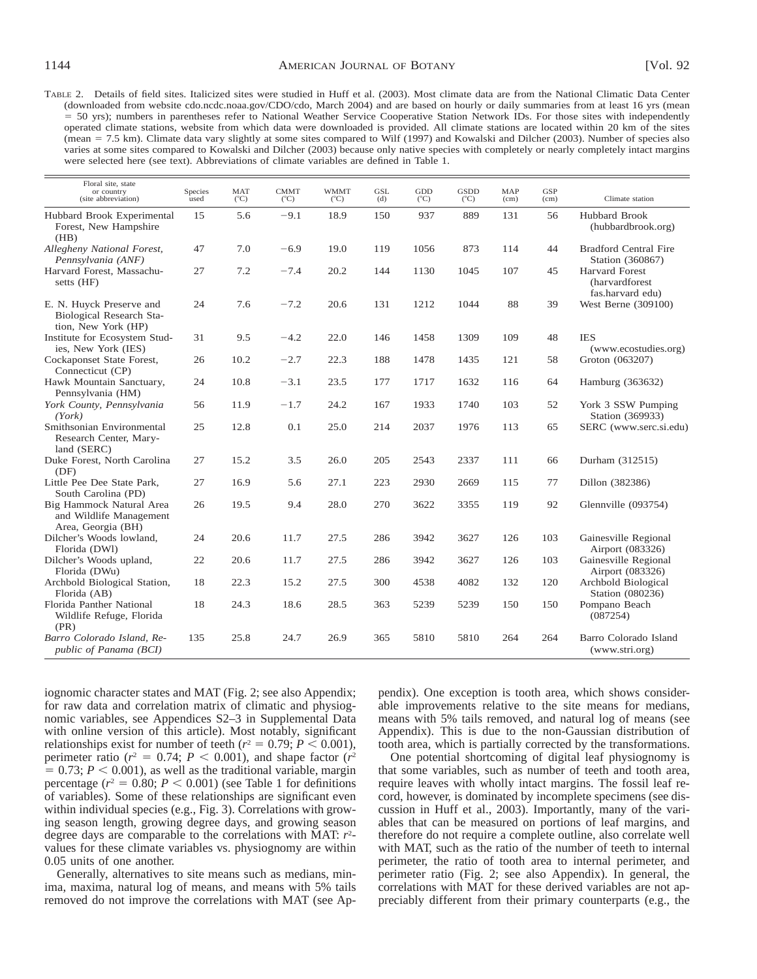TABLE 2. Details of field sites. Italicized sites were studied in Huff et al. (2003). Most climate data are from the National Climatic Data Center (downloaded from website cdo.ncdc.noaa.gov/CDO/cdo, March 2004) and are based on hourly or daily summaries from at least 16 yrs (mean 5 50 yrs); numbers in parentheses refer to National Weather Service Cooperative Station Network IDs. For those sites with independently operated climate stations, website from which data were downloaded is provided. All climate stations are located within 20 km of the sites (mean 5 7.5 km). Climate data vary slightly at some sites compared to Wilf (1997) and Kowalski and Dilcher (2003). Number of species also varies at some sites compared to Kowalski and Dilcher (2003) because only native species with completely or nearly completely intact margins were selected here (see text). Abbreviations of climate variables are defined in Table 1.

| Floral site, state<br>or country<br>(site abbreviation)                     | Species<br>used | <b>MAT</b><br>$(^{\circ}C)$ | <b>CMMT</b><br>$(^{\circ}C)$ | <b>WMMT</b><br>$(^{\circ}C)$ | <b>GSL</b><br>(d) | GDD<br>$(^{\circ}C)$ | <b>GSDD</b><br>$(^{\circ}C)$ | <b>MAP</b><br>(cm) | <b>GSP</b><br>(cm) | Climate station                                              |
|-----------------------------------------------------------------------------|-----------------|-----------------------------|------------------------------|------------------------------|-------------------|----------------------|------------------------------|--------------------|--------------------|--------------------------------------------------------------|
| Hubbard Brook Experimental<br>Forest, New Hampshire<br>(HB)                 | 15              | 5.6                         | $-9.1$                       | 18.9                         | 150               | 937                  | 889                          | 131                | 56                 | <b>Hubbard Brook</b><br>(hubbardbrook.org)                   |
| Allegheny National Forest,<br>Pennsylvania (ANF)                            | 47              | 7.0                         | $-6.9$                       | 19.0                         | 119               | 1056                 | 873                          | 114                | 44                 | <b>Bradford Central Fire</b><br>Station (360867)             |
| Harvard Forest, Massachu-<br>setts (HF)                                     | 27              | 7.2                         | $-7.4$                       | 20.2                         | 144               | 1130                 | 1045                         | 107                | 45                 | Harvard Forest<br><i>(harvardforest)</i><br>fas.harvard edu) |
| E. N. Huyck Preserve and<br>Biological Research Sta-<br>tion, New York (HP) | 24              | 7.6                         | $-7.2$                       | 20.6                         | 131               | 1212                 | 1044                         | 88                 | 39                 | West Berne (309100)                                          |
| Institute for Ecosystem Stud-<br>ies, New York (IES)                        | 31              | 9.5                         | $-4.2$                       | 22.0                         | 146               | 1458                 | 1309                         | 109                | 48                 | <b>IES</b><br>(www.ecostudies.org)                           |
| Cockaponset State Forest,<br>Connecticut (CP)                               | 26              | 10.2                        | $-2.7$                       | 22.3                         | 188               | 1478                 | 1435                         | 121                | 58                 | Groton (063207)                                              |
| Hawk Mountain Sanctuary,<br>Pennsylvania (HM)                               | 24              | 10.8                        | $-3.1$                       | 23.5                         | 177               | 1717                 | 1632                         | 116                | 64                 | Hamburg (363632)                                             |
| York County, Pennsylvania<br>(York)                                         | 56              | 11.9                        | $-1.7$                       | 24.2                         | 167               | 1933                 | 1740                         | 103                | 52                 | York 3 SSW Pumping<br>Station (369933)                       |
| Smithsonian Environmental<br>Research Center, Mary-<br>land (SERC)          | 25              | 12.8                        | 0.1                          | 25.0                         | 214               | 2037                 | 1976                         | 113                | 65                 | SERC (www.serc.si.edu)                                       |
| Duke Forest, North Carolina<br>(DF)                                         | 27              | 15.2                        | 3.5                          | 26.0                         | 205               | 2543                 | 2337                         | 111                | 66                 | Durham (312515)                                              |
| Little Pee Dee State Park,<br>South Carolina (PD)                           | 27              | 16.9                        | 5.6                          | 27.1                         | 223               | 2930                 | 2669                         | 115                | 77                 | Dillon (382386)                                              |
| Big Hammock Natural Area<br>and Wildlife Management<br>Area, Georgia (BH)   | 26              | 19.5                        | 9.4                          | 28.0                         | 270               | 3622                 | 3355                         | 119                | 92                 | Glennville (093754)                                          |
| Dilcher's Woods lowland,<br>Florida (DWI)                                   | 24              | 20.6                        | 11.7                         | 27.5                         | 286               | 3942                 | 3627                         | 126                | 103                | Gainesville Regional<br>Airport (083326)                     |
| Dilcher's Woods upland,<br>Florida (DWu)                                    | 22              | 20.6                        | 11.7                         | 27.5                         | 286               | 3942                 | 3627                         | 126                | 103                | Gainesville Regional<br>Airport (083326)                     |
| Archbold Biological Station,<br>Florida (AB)                                | 18              | 22.3                        | 15.2                         | 27.5                         | 300               | 4538                 | 4082                         | 132                | 120                | Archbold Biological<br>Station (080236)                      |
| Florida Panther National<br>Wildlife Refuge, Florida<br>(PR)                | 18              | 24.3                        | 18.6                         | 28.5                         | 363               | 5239                 | 5239                         | 150                | 150                | Pompano Beach<br>(087254)                                    |
| Barro Colorado Island, Re-<br>public of Panama (BCI)                        | 135             | 25.8                        | 24.7                         | 26.9                         | 365               | 5810                 | 5810                         | 264                | 264                | Barro Colorado Island<br>(www.stri.org)                      |

iognomic character states and MAT (Fig. 2; see also Appendix; for raw data and correlation matrix of climatic and physiognomic variables, see Appendices S2–3 in Supplemental Data with online version of this article). Most notably, significant relationships exist for number of teeth ( $r^2 = 0.79$ ;  $P < 0.001$ ), perimeter ratio ( $r^2 = 0.74$ ;  $P < 0.001$ ), and shape factor ( $r^2$  $= 0.73$ ;  $P < 0.001$ ), as well as the traditional variable, margin percentage  $(r^2 = 0.80; P < 0.001)$  (see Table 1 for definitions of variables). Some of these relationships are significant even within individual species (e.g., Fig. 3). Correlations with growing season length, growing degree days, and growing season degree days are comparable to the correlations with MAT: *r*<sup>2</sup> values for these climate variables vs. physiognomy are within 0.05 units of one another.

Generally, alternatives to site means such as medians, minima, maxima, natural log of means, and means with 5% tails removed do not improve the correlations with MAT (see Appendix). One exception is tooth area, which shows considerable improvements relative to the site means for medians, means with 5% tails removed, and natural log of means (see Appendix). This is due to the non-Gaussian distribution of tooth area, which is partially corrected by the transformations.

One potential shortcoming of digital leaf physiognomy is that some variables, such as number of teeth and tooth area, require leaves with wholly intact margins. The fossil leaf record, however, is dominated by incomplete specimens (see discussion in Huff et al., 2003). Importantly, many of the variables that can be measured on portions of leaf margins, and therefore do not require a complete outline, also correlate well with MAT, such as the ratio of the number of teeth to internal perimeter, the ratio of tooth area to internal perimeter, and perimeter ratio (Fig. 2; see also Appendix). In general, the correlations with MAT for these derived variables are not appreciably different from their primary counterparts (e.g., the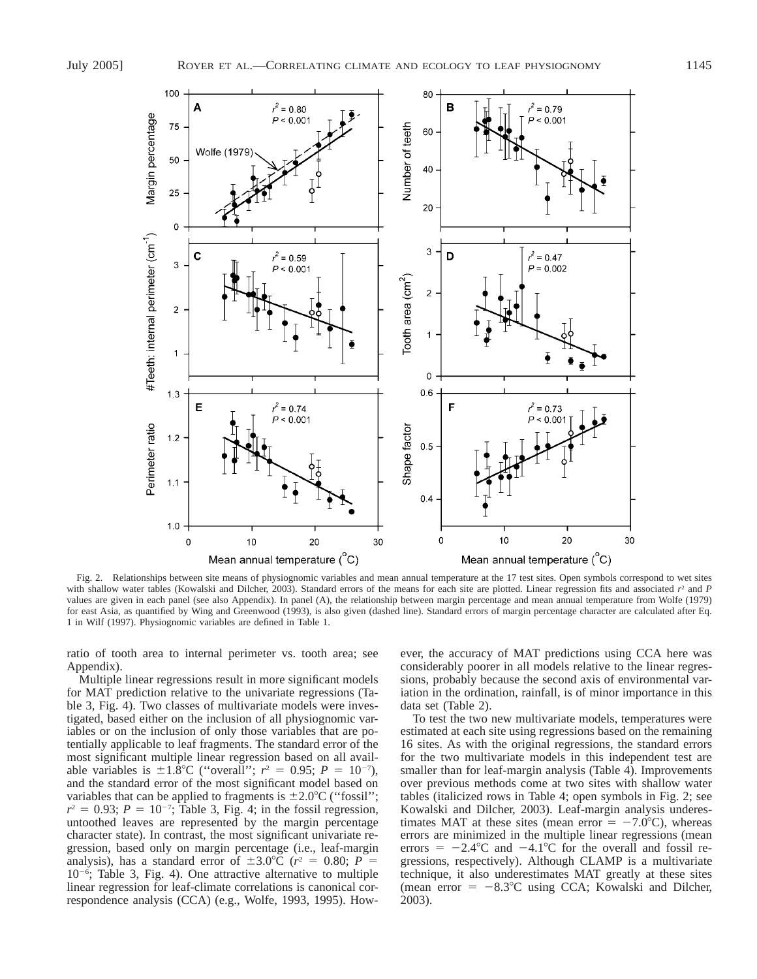

Fig. 2. Relationships between site means of physiognomic variables and mean annual temperature at the 17 test sites. Open symbols correspond to wet sites with shallow water tables (Kowalski and Dilcher, 2003). Standard errors of the means for each site are plotted. Linear regression fits and associated  $r^2$  and *P* values are given in each panel (see also Appendix). In panel (A), the relationship between margin percentage and mean annual temperature from Wolfe (1979) for east Asia, as quantified by Wing and Greenwood (1993), is also given (dashed line). Standard errors of margin percentage character are calculated after Eq. 1 in Wilf (1997). Physiognomic variables are defined in Table 1.

ratio of tooth area to internal perimeter vs. tooth area; see Appendix).

Multiple linear regressions result in more significant models for MAT prediction relative to the univariate regressions (Table 3, Fig. 4). Two classes of multivariate models were investigated, based either on the inclusion of all physiognomic variables or on the inclusion of only those variables that are potentially applicable to leaf fragments. The standard error of the most significant multiple linear regression based on all available variables is  $\pm 1.8^{\circ}$ C ("overall";  $r^2 = 0.95$ ;  $P = 10^{-7}$ ), and the standard error of the most significant model based on variables that can be applied to fragments is  $\pm 2.0^{\circ}$ C ("fossil";  $r^2 = 0.93$ ;  $P = 10^{-7}$ ; Table 3, Fig. 4; in the fossil regression, untoothed leaves are represented by the margin percentage character state). In contrast, the most significant univariate regression, based only on margin percentage (i.e., leaf-margin analysis), has a standard error of  $\pm 3.0^{\circ}C$  ( $r^2 = 0.80$ ;  $P =$ 10<sup>-6</sup>; Table 3, Fig. 4). One attractive alternative to multiple linear regression for leaf-climate correlations is canonical correspondence analysis (CCA) (e.g., Wolfe, 1993, 1995). However, the accuracy of MAT predictions using CCA here was considerably poorer in all models relative to the linear regressions, probably because the second axis of environmental variation in the ordination, rainfall, is of minor importance in this data set (Table 2).

To test the two new multivariate models, temperatures were estimated at each site using regressions based on the remaining 16 sites. As with the original regressions, the standard errors for the two multivariate models in this independent test are smaller than for leaf-margin analysis (Table 4). Improvements over previous methods come at two sites with shallow water tables (italicized rows in Table 4; open symbols in Fig. 2; see Kowalski and Dilcher, 2003). Leaf-margin analysis underestimates MAT at these sites (mean error  $= -7.0^{\circ}$ C), whereas errors are minimized in the multiple linear regressions (mean errors =  $-2.4$ °C and  $-4.1$ °C for the overall and fossil regressions, respectively). Although CLAMP is a multivariate technique, it also underestimates MAT greatly at these sites (mean error  $= -8.3^{\circ}\text{C}$  using CCA; Kowalski and Dilcher, 2003).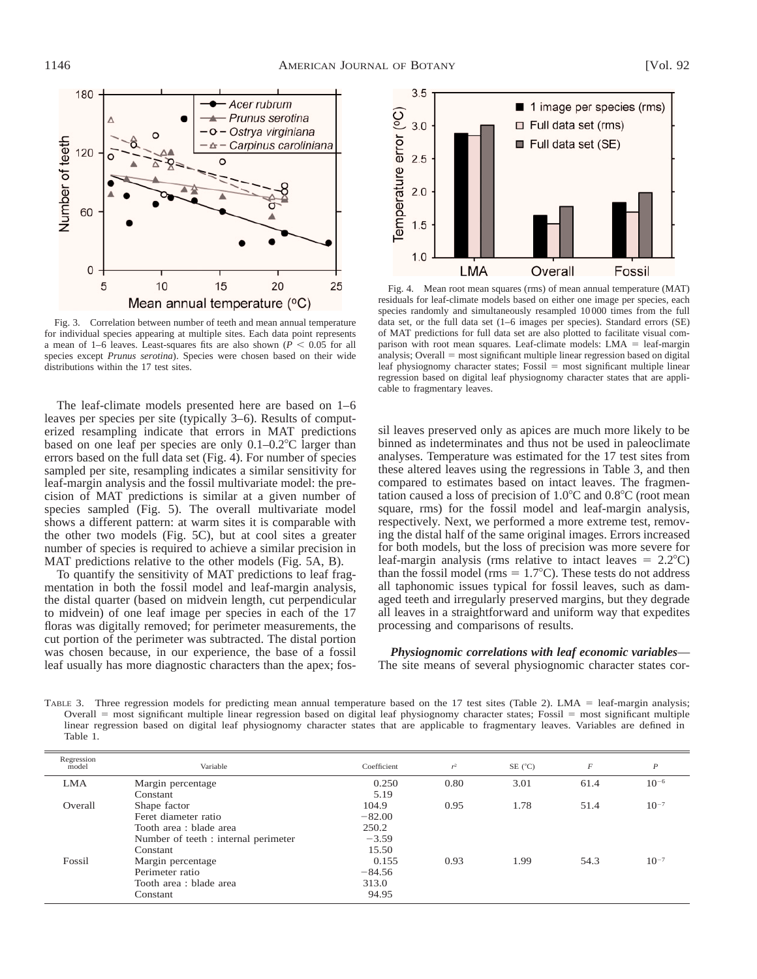

Fig. 3. Correlation between number of teeth and mean annual temperature for individual species appearing at multiple sites. Each data point represents a mean of 1–6 leaves. Least-squares fits are also shown ( $P < 0.05$  for all species except *Prunus serotina*). Species were chosen based on their wide distributions within the 17 test sites.

The leaf-climate models presented here are based on 1–6 leaves per species per site (typically 3–6). Results of computerized resampling indicate that errors in MAT predictions based on one leaf per species are only  $0.1-0.2^{\circ}$ C larger than errors based on the full data set (Fig. 4). For number of species sampled per site, resampling indicates a similar sensitivity for leaf-margin analysis and the fossil multivariate model: the precision of MAT predictions is similar at a given number of species sampled (Fig. 5). The overall multivariate model shows a different pattern: at warm sites it is comparable with the other two models (Fig. 5C), but at cool sites a greater number of species is required to achieve a similar precision in MAT predictions relative to the other models (Fig. 5A, B).

To quantify the sensitivity of MAT predictions to leaf fragmentation in both the fossil model and leaf-margin analysis, the distal quarter (based on midvein length, cut perpendicular to midvein) of one leaf image per species in each of the 17 floras was digitally removed; for perimeter measurements, the cut portion of the perimeter was subtracted. The distal portion was chosen because, in our experience, the base of a fossil leaf usually has more diagnostic characters than the apex; fos-



Fig. 4. Mean root mean squares (rms) of mean annual temperature (MAT) residuals for leaf-climate models based on either one image per species, each species randomly and simultaneously resampled 10 000 times from the full data set, or the full data set (1–6 images per species). Standard errors (SE) of MAT predictions for full data set are also plotted to facilitate visual comparison with root mean squares. Leaf-climate models:  $LMA = leaf-margin$ analysis; Overall  $=$  most significant multiple linear regression based on digital leaf physiognomy character states; Fossil = most significant multiple linear regression based on digital leaf physiognomy character states that are applicable to fragmentary leaves.

sil leaves preserved only as apices are much more likely to be binned as indeterminates and thus not be used in paleoclimate analyses. Temperature was estimated for the 17 test sites from these altered leaves using the regressions in Table 3, and then compared to estimates based on intact leaves. The fragmentation caused a loss of precision of  $1.0^{\circ}$ C and  $0.8^{\circ}$ C (root mean square, rms) for the fossil model and leaf-margin analysis, respectively. Next, we performed a more extreme test, removing the distal half of the same original images. Errors increased for both models, but the loss of precision was more severe for leaf-margin analysis (rms relative to intact leaves  $= 2.2^{\circ}C$ ) than the fossil model (rms  $= 1.7^{\circ}$ C). These tests do not address all taphonomic issues typical for fossil leaves, such as damaged teeth and irregularly preserved margins, but they degrade all leaves in a straightforward and uniform way that expedites processing and comparisons of results.

*Physiognomic correlations with leaf economic variables*— The site means of several physiognomic character states cor-

TABLE 3. Three regression models for predicting mean annual temperature based on the 17 test sites (Table 2). LMA = leaf-margin analysis; Overall = most significant multiple linear regression based on digital leaf physiognomy character states; Fossil = most significant multiple linear regression based on digital leaf physiognomy character states that are applicable to fragmentary leaves. Variables are defined in Table 1.

| Regression<br>model | Variable                             | Coefficient | $r^2$ | $SE(^{\circ}C)$ | F    | P         |
|---------------------|--------------------------------------|-------------|-------|-----------------|------|-----------|
| <b>LMA</b>          | Margin percentage                    | 0.250       | 0.80  | 3.01            | 61.4 | $10^{-6}$ |
|                     | Constant                             | 5.19        |       |                 |      |           |
| Overall             | Shape factor                         | 104.9       | 0.95  | 1.78            | 51.4 | $10^{-7}$ |
|                     | Feret diameter ratio                 | $-82.00$    |       |                 |      |           |
|                     | Tooth area : blade area              | 250.2       |       |                 |      |           |
|                     | Number of teeth : internal perimeter | $-3.59$     |       |                 |      |           |
|                     | Constant                             | 15.50       |       |                 |      |           |
| Fossil              | Margin percentage                    | 0.155       | 0.93  | 1.99            | 54.3 | $10^{-7}$ |
|                     | Perimeter ratio                      | $-84.56$    |       |                 |      |           |
|                     | Tooth area : blade area              | 313.0       |       |                 |      |           |
|                     | Constant                             | 94.95       |       |                 |      |           |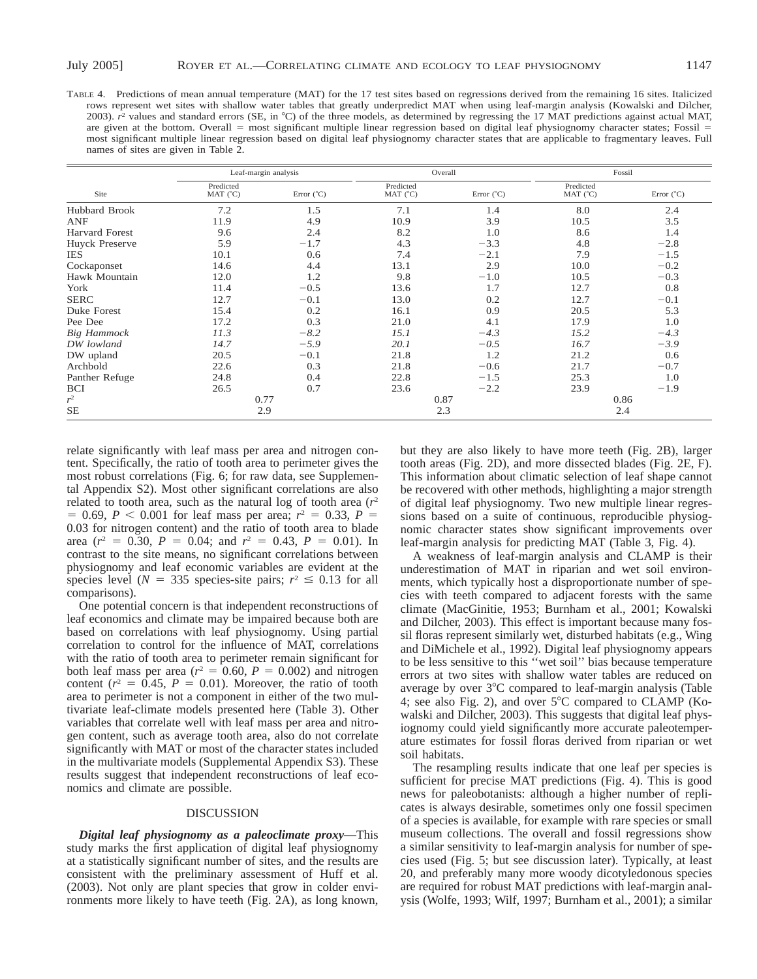TABLE 4. Predictions of mean annual temperature (MAT) for the 17 test sites based on regressions derived from the remaining 16 sites. Italicized rows represent wet sites with shallow water tables that greatly underpredict MAT when using leaf-margin analysis (Kowalski and Dilcher, 2003). *r*<sup>2</sup> values and standard errors (SE, in °C) of the three models, as determined by regressing the 17 MAT predictions against actual MAT, are given at the bottom. Overall  $=$  most significant multiple linear regression based on digital leaf physiognomy character states; Fossil  $=$ most significant multiple linear regression based on digital leaf physiognomy character states that are applicable to fragmentary leaves. Full names of sites are given in Table 2.

|                    | Leaf-margin analysis  |                     | Overall                        |                     | Fossil                |                     |
|--------------------|-----------------------|---------------------|--------------------------------|---------------------|-----------------------|---------------------|
| Site               | Predicted<br>MAT (°C) | Error $(^{\circ}C)$ | Predicted<br>MAT $(^{\circ}C)$ | Error $(^{\circ}C)$ | Predicted<br>MAT (°C) | Error $(^{\circ}C)$ |
| Hubbard Brook      | 7.2                   | 1.5                 | 7.1                            | 1.4                 | 8.0                   | 2.4                 |
| ANF                | 11.9                  | 4.9                 | 10.9                           | 3.9                 | 10.5                  | 3.5                 |
| Harvard Forest     | 9.6                   | 2.4                 | 8.2                            | 1.0                 | 8.6                   | 1.4                 |
| Huyck Preserve     | 5.9                   | $-1.7$              | 4.3                            | $-3.3$              | 4.8                   | $-2.8$              |
| <b>IES</b>         | 10.1                  | 0.6                 | 7.4                            | $-2.1$              | 7.9                   | $-1.5$              |
| Cockaponset        | 14.6                  | 4.4                 | 13.1                           | 2.9                 | 10.0                  | $-0.2$              |
| Hawk Mountain      | 12.0                  | 1.2                 | 9.8                            | $-1.0$              | 10.5                  | $-0.3$              |
| York               | 11.4                  | $-0.5$              | 13.6                           | 1.7                 | 12.7                  | 0.8                 |
| <b>SERC</b>        | 12.7                  | $-0.1$              | 13.0                           | 0.2                 | 12.7                  | $-0.1$              |
| Duke Forest        | 15.4                  | 0.2                 | 16.1                           | 0.9                 | 20.5                  | 5.3                 |
| Pee Dee            | 17.2                  | 0.3                 | 21.0                           | 4.1                 | 17.9                  | 1.0                 |
| <b>Big Hammock</b> | 11.3                  | $-8.2$              | 15.1                           | $-4.3$              | 15.2                  | $-4.3$              |
| DW lowland         | 14.7                  | $-5.9$              | 20.1                           | $-0.5$              | 16.7                  | $-3.9$              |
| DW upland          | 20.5                  | $-0.1$              | 21.8                           | 1.2                 | 21.2                  | 0.6                 |
| Archbold           | 22.6                  | 0.3                 | 21.8                           | $-0.6$              | 21.7                  | $-0.7$              |
| Panther Refuge     | 24.8                  | 0.4                 | 22.8                           | $-1.5$              | 25.3                  | 1.0                 |
| <b>BCI</b>         | 26.5                  | 0.7                 | 23.6                           | $-2.2$              | 23.9                  | $-1.9$              |
| $r^2$              | 0.77                  |                     | 0.87                           |                     |                       | 0.86                |
| <b>SE</b>          | 2.9                   |                     | 2.3                            |                     |                       | 2.4                 |

relate significantly with leaf mass per area and nitrogen content. Specifically, the ratio of tooth area to perimeter gives the most robust correlations (Fig. 6; for raw data, see Supplemental Appendix S2). Most other significant correlations are also related to tooth area, such as the natural log of tooth area  $(r^2)$  $= 0.69, P < 0.001$  for leaf mass per area;  $r^2 = 0.33, P = 0.33$ 0.03 for nitrogen content) and the ratio of tooth area to blade area  $(r^2 = 0.30, P = 0.04;$  and  $r^2 = 0.43, P = 0.01$ ). In contrast to the site means, no significant correlations between physiognomy and leaf economic variables are evident at the species level ( $N = 335$  species-site pairs;  $r^2 \le 0.13$  for all comparisons).

One potential concern is that independent reconstructions of leaf economics and climate may be impaired because both are based on correlations with leaf physiognomy. Using partial correlation to control for the influence of MAT, correlations with the ratio of tooth area to perimeter remain significant for both leaf mass per area ( $r^2 = 0.60$ ,  $P = 0.002$ ) and nitrogen content ( $r^2 = 0.45$ ,  $P = 0.01$ ). Moreover, the ratio of tooth area to perimeter is not a component in either of the two multivariate leaf-climate models presented here (Table 3). Other variables that correlate well with leaf mass per area and nitrogen content, such as average tooth area, also do not correlate significantly with MAT or most of the character states included in the multivariate models (Supplemental Appendix S3). These results suggest that independent reconstructions of leaf economics and climate are possible.

#### DISCUSSION

*Digital leaf physiognomy as a paleoclimate proxy*—This study marks the first application of digital leaf physiognomy at a statistically significant number of sites, and the results are consistent with the preliminary assessment of Huff et al. (2003). Not only are plant species that grow in colder environments more likely to have teeth (Fig. 2A), as long known,

but they are also likely to have more teeth (Fig. 2B), larger tooth areas (Fig. 2D), and more dissected blades (Fig. 2E, F). This information about climatic selection of leaf shape cannot be recovered with other methods, highlighting a major strength of digital leaf physiognomy. Two new multiple linear regressions based on a suite of continuous, reproducible physiognomic character states show significant improvements over leaf-margin analysis for predicting MAT (Table 3, Fig. 4).

A weakness of leaf-margin analysis and CLAMP is their underestimation of MAT in riparian and wet soil environments, which typically host a disproportionate number of species with teeth compared to adjacent forests with the same climate (MacGinitie, 1953; Burnham et al., 2001; Kowalski and Dilcher, 2003). This effect is important because many fossil floras represent similarly wet, disturbed habitats (e.g., Wing and DiMichele et al., 1992). Digital leaf physiognomy appears to be less sensitive to this ''wet soil'' bias because temperature errors at two sites with shallow water tables are reduced on average by over  $3^{\circ}$ C compared to leaf-margin analysis (Table 4; see also Fig. 2), and over  $5^{\circ}$ C compared to CLAMP (Kowalski and Dilcher, 2003). This suggests that digital leaf physiognomy could yield significantly more accurate paleotemperature estimates for fossil floras derived from riparian or wet soil habitats.

The resampling results indicate that one leaf per species is sufficient for precise MAT predictions (Fig. 4). This is good news for paleobotanists: although a higher number of replicates is always desirable, sometimes only one fossil specimen of a species is available, for example with rare species or small museum collections. The overall and fossil regressions show a similar sensitivity to leaf-margin analysis for number of species used (Fig. 5; but see discussion later). Typically, at least 20, and preferably many more woody dicotyledonous species are required for robust MAT predictions with leaf-margin analysis (Wolfe, 1993; Wilf, 1997; Burnham et al., 2001); a similar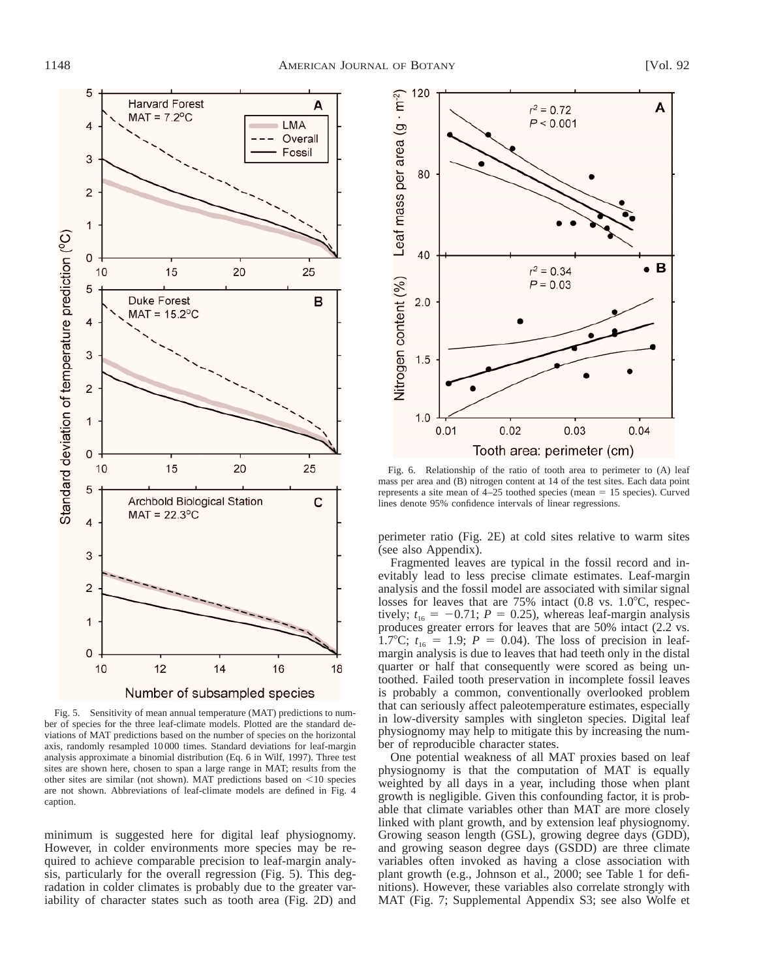

Fig. 5. Sensitivity of mean annual temperature (MAT) predictions to number of species for the three leaf-climate models. Plotted are the standard deviations of MAT predictions based on the number of species on the horizontal axis, randomly resampled 10 000 times. Standard deviations for leaf-margin analysis approximate a binomial distribution (Eq. 6 in Wilf, 1997). Three test sites are shown here, chosen to span a large range in MAT; results from the other sites are similar (not shown). MAT predictions based on  $\leq$ 10 species are not shown. Abbreviations of leaf-climate models are defined in Fig. 4 caption.

minimum is suggested here for digital leaf physiognomy. However, in colder environments more species may be required to achieve comparable precision to leaf-margin analysis, particularly for the overall regression (Fig. 5). This degradation in colder climates is probably due to the greater variability of character states such as tooth area (Fig. 2D) and



Fig. 6. Relationship of the ratio of tooth area to perimeter to (A) leaf mass per area and (B) nitrogen content at 14 of the test sites. Each data point represents a site mean of  $4-25$  toothed species (mean = 15 species). Curved lines denote 95% confidence intervals of linear regressions.

perimeter ratio (Fig. 2E) at cold sites relative to warm sites (see also Appendix).

Fragmented leaves are typical in the fossil record and inevitably lead to less precise climate estimates. Leaf-margin analysis and the fossil model are associated with similar signal losses for leaves that are  $75\%$  intact (0.8 vs. 1.0 $^{\circ}$ C, respectively;  $t_{16} = -0.71$ ;  $P = 0.25$ ), whereas leaf-margin analysis produces greater errors for leaves that are 50% intact (2.2 vs. 1.7°C;  $t_{16} = 1.9$ ;  $P = 0.04$ ). The loss of precision in leafmargin analysis is due to leaves that had teeth only in the distal quarter or half that consequently were scored as being untoothed. Failed tooth preservation in incomplete fossil leaves is probably a common, conventionally overlooked problem that can seriously affect paleotemperature estimates, especially in low-diversity samples with singleton species. Digital leaf physiognomy may help to mitigate this by increasing the number of reproducible character states.

One potential weakness of all MAT proxies based on leaf physiognomy is that the computation of MAT is equally weighted by all days in a year, including those when plant growth is negligible. Given this confounding factor, it is probable that climate variables other than MAT are more closely linked with plant growth, and by extension leaf physiognomy. Growing season length (GSL), growing degree days (GDD), and growing season degree days (GSDD) are three climate variables often invoked as having a close association with plant growth (e.g., Johnson et al., 2000; see Table 1 for definitions). However, these variables also correlate strongly with MAT (Fig. 7; Supplemental Appendix S3; see also Wolfe et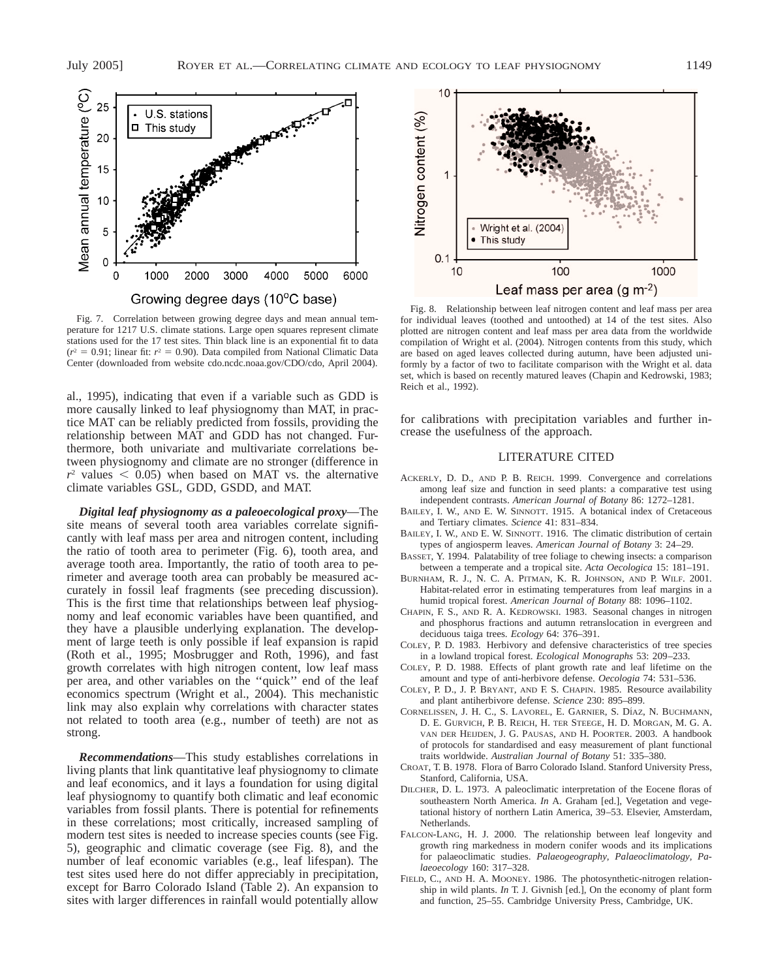

Fig. 7. Correlation between growing degree days and mean annual temperature for 1217 U.S. climate stations. Large open squares represent climate stations used for the 17 test sites. Thin black line is an exponential fit to data  $(r^2 = 0.91$ ; linear fit:  $r^2 = 0.90$ ). Data compiled from National Climatic Data Center (downloaded from website cdo.ncdc.noaa.gov/CDO/cdo, April 2004).

al., 1995), indicating that even if a variable such as GDD is more causally linked to leaf physiognomy than MAT, in practice MAT can be reliably predicted from fossils, providing the relationship between MAT and GDD has not changed. Furthermore, both univariate and multivariate correlations between physiognomy and climate are no stronger (difference in  $r^2$  values  $\leq$  0.05) when based on MAT vs. the alternative climate variables GSL, GDD, GSDD, and MAT.

*Digital leaf physiognomy as a paleoecological proxy*—The site means of several tooth area variables correlate significantly with leaf mass per area and nitrogen content, including the ratio of tooth area to perimeter (Fig. 6), tooth area, and average tooth area. Importantly, the ratio of tooth area to perimeter and average tooth area can probably be measured accurately in fossil leaf fragments (see preceding discussion). This is the first time that relationships between leaf physiognomy and leaf economic variables have been quantified, and they have a plausible underlying explanation. The development of large teeth is only possible if leaf expansion is rapid (Roth et al., 1995; Mosbrugger and Roth, 1996), and fast growth correlates with high nitrogen content, low leaf mass per area, and other variables on the ''quick'' end of the leaf economics spectrum (Wright et al., 2004). This mechanistic link may also explain why correlations with character states not related to tooth area (e.g., number of teeth) are not as strong.

*Recommendations*—This study establishes correlations in living plants that link quantitative leaf physiognomy to climate and leaf economics, and it lays a foundation for using digital leaf physiognomy to quantify both climatic and leaf economic variables from fossil plants. There is potential for refinements in these correlations; most critically, increased sampling of modern test sites is needed to increase species counts (see Fig. 5), geographic and climatic coverage (see Fig. 8), and the number of leaf economic variables (e.g., leaf lifespan). The test sites used here do not differ appreciably in precipitation, except for Barro Colorado Island (Table 2). An expansion to sites with larger differences in rainfall would potentially allow



Fig. 8. Relationship between leaf nitrogen content and leaf mass per area for individual leaves (toothed and untoothed) at 14 of the test sites. Also plotted are nitrogen content and leaf mass per area data from the worldwide compilation of Wright et al. (2004). Nitrogen contents from this study, which are based on aged leaves collected during autumn, have been adjusted uniformly by a factor of two to facilitate comparison with the Wright et al. data set, which is based on recently matured leaves (Chapin and Kedrowski, 1983; Reich et al., 1992).

for calibrations with precipitation variables and further increase the usefulness of the approach.

### LITERATURE CITED

- ACKERLY, D. D., AND P. B. REICH. 1999. Convergence and correlations among leaf size and function in seed plants: a comparative test using independent contrasts. *American Journal of Botany* 86: 1272–1281.
- BAILEY, I. W., AND E. W. SINNOTT. 1915. A botanical index of Cretaceous and Tertiary climates. *Science* 41: 831–834.
- BAILEY, I. W., AND E. W. SINNOTT. 1916. The climatic distribution of certain types of angiosperm leaves. *American Journal of Botany* 3: 24–29.
- BASSET, Y. 1994. Palatability of tree foliage to chewing insects: a comparison between a temperate and a tropical site. *Acta Oecologica* 15: 181–191.
- BURNHAM, R. J., N. C. A. PITMAN, K. R. JOHNSON, AND P. WILF. 2001. Habitat-related error in estimating temperatures from leaf margins in a humid tropical forest. *American Journal of Botany* 88: 1096–1102.
- CHAPIN, F. S., AND R. A. KEDROWSKI. 1983. Seasonal changes in nitrogen and phosphorus fractions and autumn retranslocation in evergreen and deciduous taiga trees. *Ecology* 64: 376–391.
- COLEY, P. D. 1983. Herbivory and defensive characteristics of tree species in a lowland tropical forest. *Ecological Monographs* 53: 209–233.
- COLEY, P. D. 1988. Effects of plant growth rate and leaf lifetime on the amount and type of anti-herbivore defense. *Oecologia* 74: 531–536.
- COLEY, P. D., J. P. BRYANT, AND F. S. CHAPIN. 1985. Resource availability and plant antiherbivore defense. *Science* 230: 895–899.
- CORNELISSEN, J. H. C., S. LAVOREL, E. GARNIER, S. DÍAZ, N. BUCHMANN, D. E. GURVICH, P. B. REICH, H. TER STEEGE, H. D. MORGAN, M. G. A. VAN DER HEIJDEN, J. G. PAUSAS, AND H. POORTER. 2003. A handbook of protocols for standardised and easy measurement of plant functional traits worldwide. *Australian Journal of Botany* 51: 335–380.
- CROAT, T. B. 1978. Flora of Barro Colorado Island. Stanford University Press, Stanford, California, USA.
- DILCHER, D. L. 1973. A paleoclimatic interpretation of the Eocene floras of southeastern North America. *In* A. Graham [ed.], Vegetation and vegetational history of northern Latin America, 39–53. Elsevier, Amsterdam, Netherlands.
- FALCON-LANG, H. J. 2000. The relationship between leaf longevity and growth ring markedness in modern conifer woods and its implications for palaeoclimatic studies. *Palaeogeography, Palaeoclimatology, Palaeoecology* 160: 317–328.
- FIELD, C., AND H. A. MOONEY. 1986. The photosynthetic-nitrogen relationship in wild plants. *In* T. J. Givnish [ed.], On the economy of plant form and function, 25–55. Cambridge University Press, Cambridge, UK.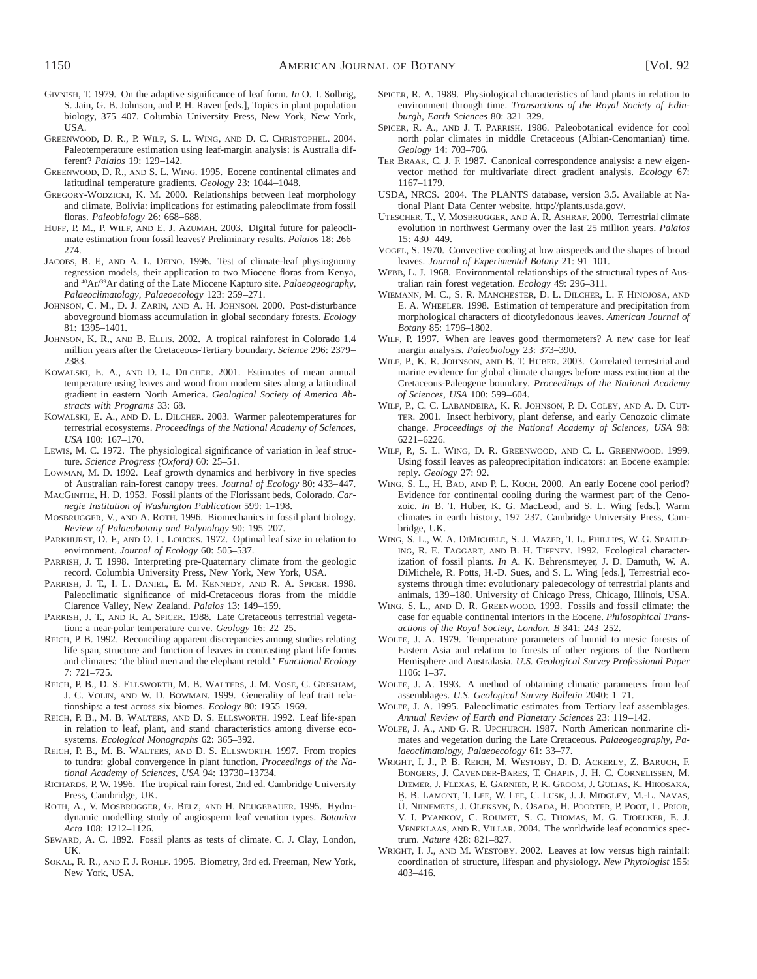- GIVNISH, T. 1979. On the adaptive significance of leaf form. *In* O. T. Solbrig, S. Jain, G. B. Johnson, and P. H. Raven [eds.], Topics in plant population biology, 375–407. Columbia University Press, New York, New York, USA.
- GREENWOOD, D. R., P. WILF, S. L. WING, AND D. C. CHRISTOPHEL. 2004. Paleotemperature estimation using leaf-margin analysis: is Australia different? *Palaios* 19: 129–142.
- GREENWOOD, D. R., AND S. L. WING. 1995. Eocene continental climates and latitudinal temperature gradients. *Geology* 23: 1044–1048.
- GREGORY-WODZICKI, K. M. 2000. Relationships between leaf morphology and climate, Bolivia: implications for estimating paleoclimate from fossil floras. *Paleobiology* 26: 668–688.
- HUFF, P. M., P. WILF, AND E. J. AZUMAH. 2003. Digital future for paleoclimate estimation from fossil leaves? Preliminary results. *Palaios* 18: 266– 274.
- JACOBS, B. F., AND A. L. DEINO. 1996. Test of climate-leaf physiognomy regression models, their application to two Miocene floras from Kenya, and 40Ar/39Ar dating of the Late Miocene Kapturo site. *Palaeogeography, Palaeoclimatology, Palaeoecology* 123: 259–271.
- JOHNSON, C. M., D. J. ZARIN, AND A. H. JOHNSON. 2000. Post-disturbance aboveground biomass accumulation in global secondary forests. *Ecology* 81: 1395–1401.
- JOHNSON, K. R., AND B. ELLIS. 2002. A tropical rainforest in Colorado 1.4 million years after the Cretaceous-Tertiary boundary. *Science* 296: 2379– 2383.
- KOWALSKI, E. A., AND D. L. DILCHER. 2001. Estimates of mean annual temperature using leaves and wood from modern sites along a latitudinal gradient in eastern North America. *Geological Society of America Abstracts with Programs* 33: 68.
- KOWALSKI, E. A., AND D. L. DILCHER. 2003. Warmer paleotemperatures for terrestrial ecosystems. *Proceedings of the National Academy of Sciences, USA* 100: 167–170.
- LEWIS, M. C. 1972. The physiological significance of variation in leaf structure. *Science Progress (Oxford)* 60: 25–51.
- LOWMAN, M. D. 1992. Leaf growth dynamics and herbivory in five species of Australian rain-forest canopy trees. *Journal of Ecology* 80: 433–447.
- MACGINITIE, H. D. 1953. Fossil plants of the Florissant beds, Colorado. *Carnegie Institution of Washington Publication* 599: 1–198.
- MOSBRUGGER, V., AND A. ROTH. 1996. Biomechanics in fossil plant biology. *Review of Palaeobotany and Palynology* 90: 195–207.
- PARKHURST, D. F., AND O. L. LOUCKS. 1972. Optimal leaf size in relation to environment. *Journal of Ecology* 60: 505–537.
- PARRISH, J. T. 1998. Interpreting pre-Quaternary climate from the geologic record. Columbia University Press, New York, New York, USA.
- PARRISH, J. T., I. L. DANIEL, E. M. KENNEDY, AND R. A. SPICER. 1998. Paleoclimatic significance of mid-Cretaceous floras from the middle Clarence Valley, New Zealand. *Palaios* 13: 149–159.
- PARRISH, J. T., AND R. A. SPICER. 1988. Late Cretaceous terrestrial vegetation: a near-polar temperature curve. *Geology* 16: 22–25.
- REICH, P. B. 1992. Reconciling apparent discrepancies among studies relating life span, structure and function of leaves in contrasting plant life forms and climates: 'the blind men and the elephant retold.' *Functional Ecology* 7: 721–725.
- REICH, P. B., D. S. ELLSWORTH, M. B. WALTERS, J. M. VOSE, C. GRESHAM, J. C. VOLIN, AND W. D. BOWMAN. 1999. Generality of leaf trait relationships: a test across six biomes. *Ecology* 80: 1955–1969.
- REICH, P. B., M. B. WALTERS, AND D. S. ELLSWORTH. 1992. Leaf life-span in relation to leaf, plant, and stand characteristics among diverse ecosystems. *Ecological Monographs* 62: 365–392.
- REICH, P. B., M. B. WALTERS, AND D. S. ELLSWORTH. 1997. From tropics to tundra: global convergence in plant function. *Proceedings of the National Academy of Sciences, USA* 94: 13730–13734.
- RICHARDS, P. W. 1996. The tropical rain forest, 2nd ed. Cambridge University Press, Cambridge, UK.
- ROTH, A., V. MOSBRUGGER, G. BELZ, AND H. NEUGEBAUER. 1995. Hydrodynamic modelling study of angiosperm leaf venation types. *Botanica Acta* 108: 1212–1126.
- SEWARD, A. C. 1892. Fossil plants as tests of climate. C. J. Clay, London, UK.
- SOKAL, R. R., AND F. J. ROHLF. 1995. Biometry, 3rd ed. Freeman, New York, New York, USA.
- SPICER, R. A. 1989. Physiological characteristics of land plants in relation to environment through time. *Transactions of the Royal Society of Edinburgh, Earth Sciences* 80: 321–329.
- SPICER, R. A., AND J. T. PARRISH. 1986. Paleobotanical evidence for cool north polar climates in middle Cretaceous (Albian-Cenomanian) time. *Geology* 14: 703–706.
- TER BRAAK, C. J. F. 1987. Canonical correspondence analysis: a new eigenvector method for multivariate direct gradient analysis. *Ecology* 67: 1167–1179.
- USDA, NRCS. 2004. The PLANTS database, version 3.5. Available at National Plant Data Center website, http://plants.usda.gov/.
- UTESCHER, T., V. MOSBRUGGER, AND A. R. ASHRAF. 2000. Terrestrial climate evolution in northwest Germany over the last 25 million years. *Palaios* 15: 430–449.
- VOGEL, S. 1970. Convective cooling at low airspeeds and the shapes of broad leaves. *Journal of Experimental Botany* 21: 91–101.
- WEBB, L. J. 1968. Environmental relationships of the structural types of Australian rain forest vegetation. *Ecology* 49: 296–311.
- WIEMANN, M. C., S. R. MANCHESTER, D. L. DILCHER, L. F. HINOJOSA, AND E. A. WHEELER. 1998. Estimation of temperature and precipitation from morphological characters of dicotyledonous leaves. *American Journal of Botany* 85: 1796–1802.
- WILF, P. 1997. When are leaves good thermometers? A new case for leaf margin analysis. *Paleobiology* 23: 373–390.
- WILF, P., K. R. JOHNSON, AND B. T. HUBER. 2003. Correlated terrestrial and marine evidence for global climate changes before mass extinction at the Cretaceous-Paleogene boundary. *Proceedings of the National Academy of Sciences, USA* 100: 599–604.
- WILF, P., C. C. LABANDEIRA, K. R. JOHNSON, P. D. COLEY, AND A. D. CUT-TER. 2001. Insect herbivory, plant defense, and early Cenozoic climate change. *Proceedings of the National Academy of Sciences, USA* 98: 6221–6226.
- WILF, P., S. L. WING, D. R. GREENWOOD, AND C. L. GREENWOOD. 1999. Using fossil leaves as paleoprecipitation indicators: an Eocene example: reply. *Geology* 27: 92.
- WING, S. L., H. BAO, AND P. L. KOCH. 2000. An early Eocene cool period? Evidence for continental cooling during the warmest part of the Cenozoic. *In* B. T. Huber, K. G. MacLeod, and S. L. Wing [eds.], Warm climates in earth history, 197–237. Cambridge University Press, Cambridge, UK.
- WING, S. L., W. A. DIMICHELE, S. J. MAZER, T. L. PHILLIPS, W. G. SPAULD-ING, R. E. TAGGART, AND B. H. TIFFNEY. 1992. Ecological characterization of fossil plants. *In* A. K. Behrensmeyer, J. D. Damuth, W. A. DiMichele, R. Potts, H.-D. Sues, and S. L. Wing [eds.], Terrestrial ecosystems through time: evolutionary paleoecology of terrestrial plants and animals, 139–180. University of Chicago Press, Chicago, Illinois, USA.
- WING, S. L., AND D. R. GREENWOOD. 1993. Fossils and fossil climate: the case for equable continental interiors in the Eocene. *Philosophical Transactions of the Royal Society, London, B* 341: 243–252.
- WOLFE, J. A. 1979. Temperature parameters of humid to mesic forests of Eastern Asia and relation to forests of other regions of the Northern Hemisphere and Australasia. *U.S. Geological Survey Professional Paper* 1106: 1–37.
- WOLFE, J. A. 1993. A method of obtaining climatic parameters from leaf assemblages. *U.S. Geological Survey Bulletin* 2040: 1–71.
- WOLFE, J. A. 1995. Paleoclimatic estimates from Tertiary leaf assemblages. *Annual Review of Earth and Planetary Sciences* 23: 119–142.
- WOLFE, J. A., AND G. R. UPCHURCH. 1987. North American nonmarine climates and vegetation during the Late Cretaceous. *Palaeogeography, Palaeoclimatology, Palaeoecology* 61: 33–77.
- WRIGHT, I. J., P. B. REICH, M. WESTOBY, D. D. ACKERLY, Z. BARUCH, F. BONGERS, J. CAVENDER-BARES, T. CHAPIN, J. H. C. CORNELISSEN, M. DIEMER, J. FLEXAS, E. GARNIER, P. K. GROOM, J. GULIAS, K. HIKOSAKA, B. B. LAMONT, T. LEE, W. LEE, C. LUSK, J. J. MIDGLEY, M.-L. NAVAS, Ü. NIINEMETS, J. OLEKSYN, N. OSADA, H. POORTER, P. POOT, L. PRIOR, V. I. PYANKOV, C. ROUMET, S. C. THOMAS, M. G. TJOELKER, E. J. VENEKLAAS, AND R. VILLAR. 2004. The worldwide leaf economics spectrum. *Nature* 428: 821–827.
- WRIGHT, I. J., AND M. WESTOBY. 2002. Leaves at low versus high rainfall: coordination of structure, lifespan and physiology. *New Phytologist* 155: 403–416.